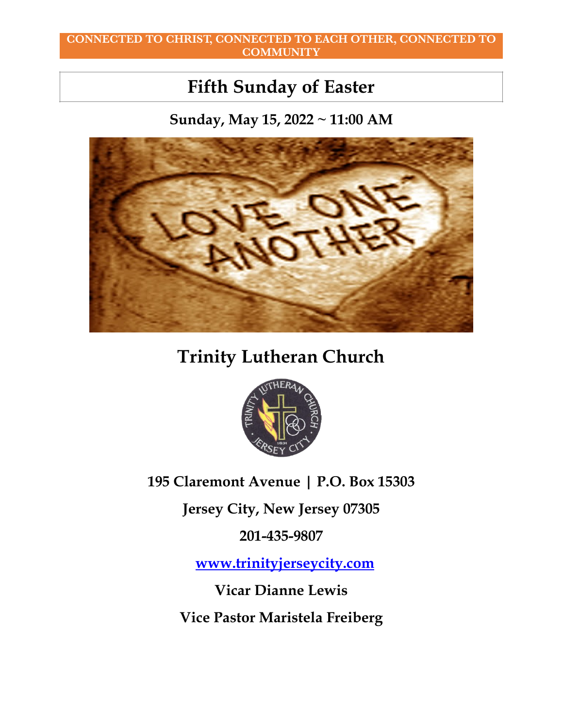#### **CONNECTED TO CHRIST, CONNECTED TO EACH OTHER, CONNECTED TO COMMUNITY**

# **Fifth Sunday of Easter**

**Sunday, May 15, 2022 ~ 11:00 AM**



# **Trinity Lutheran Church**



**195 Claremont Avenue | P.O. Box 15303**

**Jersey City, New Jersey 07305**

**201-435-9807** 

 **[www.trinityjerseycity.com](http://www.trinityjerseycity.com/)**

**Vicar Dianne Lewis**

**Vice Pastor Maristela Freiberg**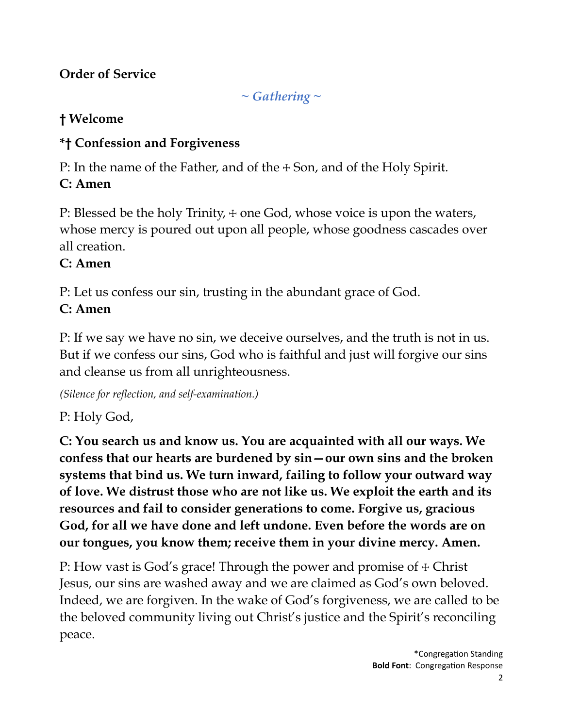# **Order of Service**

*~ Gathering ~*

# **† Welcome**

# **\*† Confession and Forgiveness**

P: In the name of the Father, and of the + Son, and of the Holy Spirit.

# **C: Amen**

P: Blessed be the holy Trinity,  $+$  one God, whose voice is upon the waters, whose mercy is poured out upon all people, whose goodness cascades over all creation.

# **C: Amen**

P: Let us confess our sin, trusting in the abundant grace of God.

# **C: Amen**

P: If we say we have no sin, we deceive ourselves, and the truth is not in us. But if we confess our sins, God who is faithful and just will forgive our sins and cleanse us from all unrighteousness.

*(Silence for reflection, and self-examination.)*

P: Holy God,

**C: You search us and know us. You are acquainted with all our ways. We confess that our hearts are burdened by sin—our own sins and the broken systems that bind us. We turn inward, failing to follow your outward way of love. We distrust those who are not like us. We exploit the earth and its resources and fail to consider generations to come. Forgive us, gracious God, for all we have done and left undone. Even before the words are on our tongues, you know them; receive them in your divine mercy. Amen.**

P: How vast is God's grace! Through the power and promise of  $\pm$  Christ Jesus, our sins are washed away and we are claimed as God's own beloved. Indeed, we are forgiven. In the wake of God's forgiveness, we are called to be the beloved community living out Christ's justice and the Spirit's reconciling peace.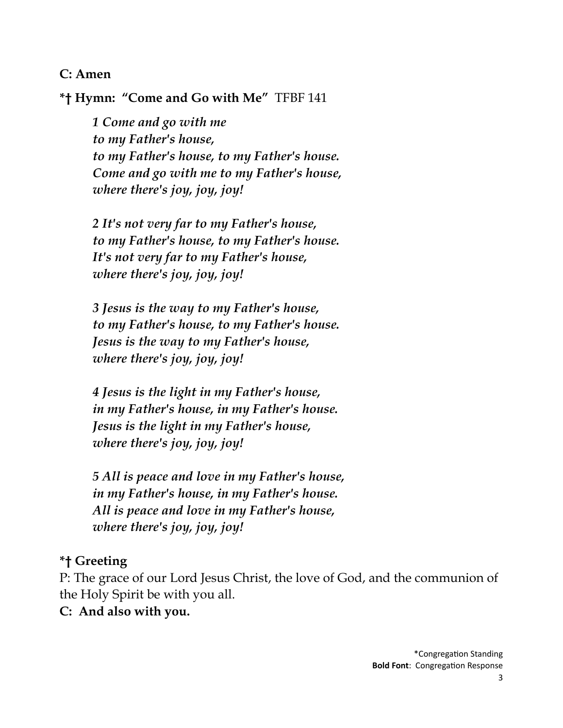### **C: Amen**

**\*† Hymn: "Come and Go with Me"** TFBF 141

*1 Come and go with me to my Father's house, to my Father's house, to my Father's house. Come and go with me to my Father's house, where there's joy, joy, joy!*

*2 It's not very far to my Father's house, to my Father's house, to my Father's house. It's not very far to my Father's house, where there's joy, joy, joy!*

*3 Jesus is the way to my Father's house, to my Father's house, to my Father's house. Jesus is the way to my Father's house, where there's joy, joy, joy!*

*4 Jesus is the light in my Father's house, in my Father's house, in my Father's house. Jesus is the light in my Father's house, where there's joy, joy, joy!*

*5 All is peace and love in my Father's house, in my Father's house, in my Father's house. All is peace and love in my Father's house, where there's joy, joy, joy!*

### **\*† Greeting**

P: The grace of our Lord Jesus Christ, the love of God, and the communion of the Holy Spirit be with you all.

#### **C: And also with you.**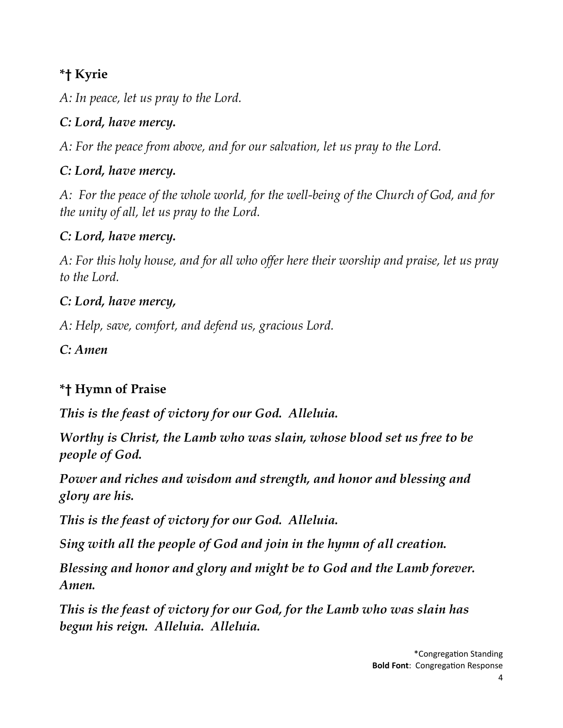# **\*† Kyrie**

*A: In peace, let us pray to the Lord.*

# *C: Lord, have mercy.*

*A: For the peace from above, and for our salvation, let us pray to the Lord.*

# *C: Lord, have mercy.*

*A: For the peace of the whole world, for the well-being of the Church of God, and for the unity of all, let us pray to the Lord.*

## *C: Lord, have mercy.*

*A: For this holy house, and for all who offer here their worship and praise, let us pray to the Lord.*

## *C: Lord, have mercy,*

*A: Help, save, comfort, and defend us, gracious Lord.*

*C: Amen*

# **\*† Hymn of Praise**

*This is the feast of victory for our God. Alleluia.*

*Worthy is Christ, the Lamb who was slain, whose blood set us free to be people of God.* 

*Power and riches and wisdom and strength, and honor and blessing and glory are his.*

*This is the feast of victory for our God. Alleluia.*

*Sing with all the people of God and join in the hymn of all creation.*

*Blessing and honor and glory and might be to God and the Lamb forever. Amen.*

*This is the feast of victory for our God, for the Lamb who was slain has begun his reign. Alleluia. Alleluia.*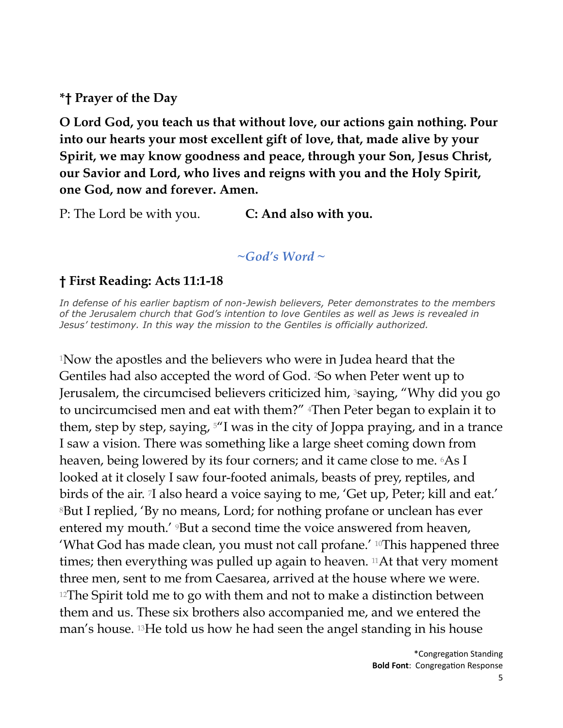**\*† Prayer of the Day**

**O Lord God, you teach us that without love, our actions gain nothing. Pour into our hearts your most excellent gift of love, that, made alive by your Spirit, we may know goodness and peace, through your Son, Jesus Christ, our Savior and Lord, who lives and reigns with you and the Holy Spirit, one God, now and forever. Amen.**

P: The Lord be with you. **C: And also with you.**

*~God's Word ~*

### **† First Reading: Acts 11:1-18**

*In defense of his earlier baptism of non-Jewish believers, Peter demonstrates to the members of the Jerusalem church that God's intention to love Gentiles as well as Jews is revealed in Jesus' testimony. In this way the mission to the Gentiles is officially authorized.*

1Now the apostles and the believers who were in Judea heard that the Gentiles had also accepted the word of God. 2So when Peter went up to Jerusalem, the circumcised believers criticized him, 3saying, "Why did you go to uncircumcised men and eat with them?" <sup>4</sup>Then Peter began to explain it to them, step by step, saying, 5"I was in the city of Joppa praying, and in a trance I saw a vision. There was something like a large sheet coming down from heaven, being lowered by its four corners; and it came close to me. 6As I looked at it closely I saw four-footed animals, beasts of prey, reptiles, and birds of the air. 7I also heard a voice saying to me, 'Get up, Peter; kill and eat.' 8But I replied, 'By no means, Lord; for nothing profane or unclean has ever entered my mouth.' <sup>9</sup>But a second time the voice answered from heaven, 'What God has made clean, you must not call profane.' 10This happened three times; then everything was pulled up again to heaven. <sup>11</sup>At that very moment three men, sent to me from Caesarea, arrived at the house where we were. <sup>12</sup>The Spirit told me to go with them and not to make a distinction between them and us. These six brothers also accompanied me, and we entered the man's house. 13He told us how he had seen the angel standing in his house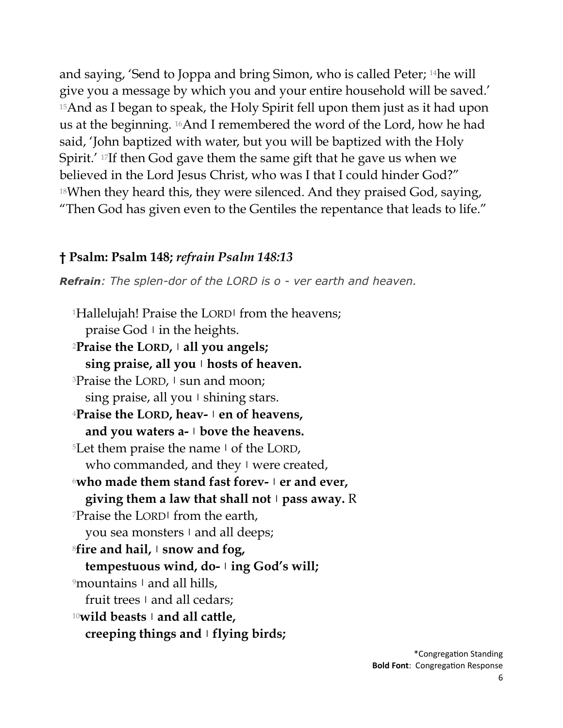and saying, 'Send to Joppa and bring Simon, who is called Peter; 14he will give you a message by which you and your entire household will be saved.' 15And as I began to speak, the Holy Spirit fell upon them just as it had upon us at the beginning. 16And I remembered the word of the Lord, how he had said, 'John baptized with water, but you will be baptized with the Holy Spirit.' 17If then God gave them the same gift that he gave us when we believed in the Lord Jesus Christ, who was I that I could hinder God?"  $18$ When they heard this, they were silenced. And they praised God, saying, "Then God has given even to the Gentiles the repentance that leads to life."

### **† Psalm: Psalm 148;** *refrain Psalm 148:13*

*Refrain: The splen-dor of the LORD is o - ver earth and heaven.* 

1Hallelujah! Praise the LORD**|** from the heavens; praise God **|** in the heights. <sup>2</sup>**Praise the LORD, | all you angels; sing praise, all you | hosts of heaven.** 3Praise the LORD, **|** sun and moon; sing praise, all you **|** shining stars. <sup>4</sup>**Praise the LORD, heav- | en of heavens, and you waters a- | bove the heavens.** 5Let them praise the name **|** of the LORD, who commanded, and they **|** were created, <sup>6</sup>**who made them stand fast forev- | er and ever, giving them a law that shall not | pass away.** R 7Praise the LORD**|** from the earth, you sea monsters **|** and all deeps; <sup>8</sup>**fire and hail, | snow and fog, tempestuous wind, do- | ing God's will;** 9mountains **|** and all hills, fruit trees **|** and all cedars; <sup>10</sup>**wild beasts | and all cattle, creeping things and | flying birds;**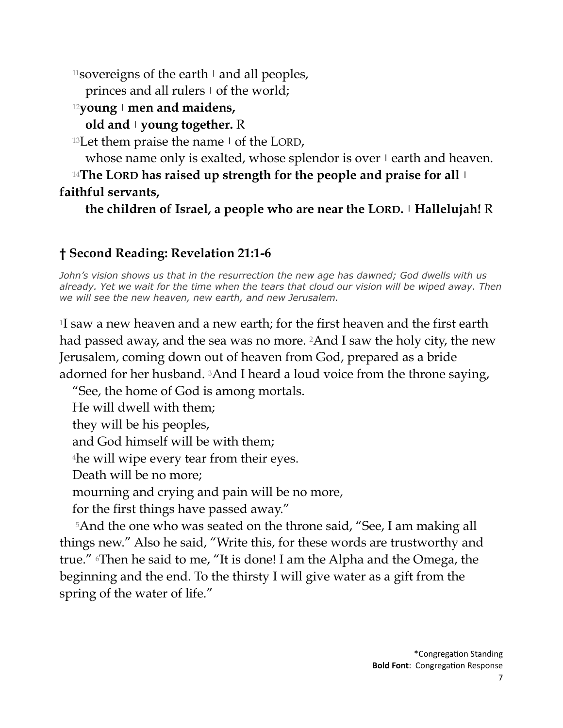11sovereigns of the earth **|** and all peoples,

princes and all rulers **|** of the world;

<sup>12</sup>**young | men and maidens,**

# **old and | young together.** R

13Let them praise the name **|** of the LORD,

whose name only is exalted, whose splendor is over **|** earth and heaven.

<sup>14</sup>**The LORD has raised up strength for the people and praise for all | faithful servants,**

**the children of Israel, a people who are near the LORD. | Hallelujah!** R

# **† Second Reading: Revelation 21:1-6**

*John's vision shows us that in the resurrection the new age has dawned; God dwells with us already. Yet we wait for the time when the tears that cloud our vision will be wiped away. Then we will see the new heaven, new earth, and new Jerusalem.*

1I saw a new heaven and a new earth; for the first heaven and the first earth had passed away, and the sea was no more. 2And I saw the holy city, the new Jerusalem, coming down out of heaven from God, prepared as a bride adorned for her husband. <sup>3</sup>And I heard a loud voice from the throne saying,

"See, the home of God is among mortals.

He will dwell with them;

they will be his peoples,

and God himself will be with them;

4he will wipe every tear from their eyes.

Death will be no more;

mourning and crying and pain will be no more,

for the first things have passed away."

5And the one who was seated on the throne said, "See, I am making all things new." Also he said, "Write this, for these words are trustworthy and true." 6Then he said to me, "It is done! I am the Alpha and the Omega, the beginning and the end. To the thirsty I will give water as a gift from the spring of the water of life."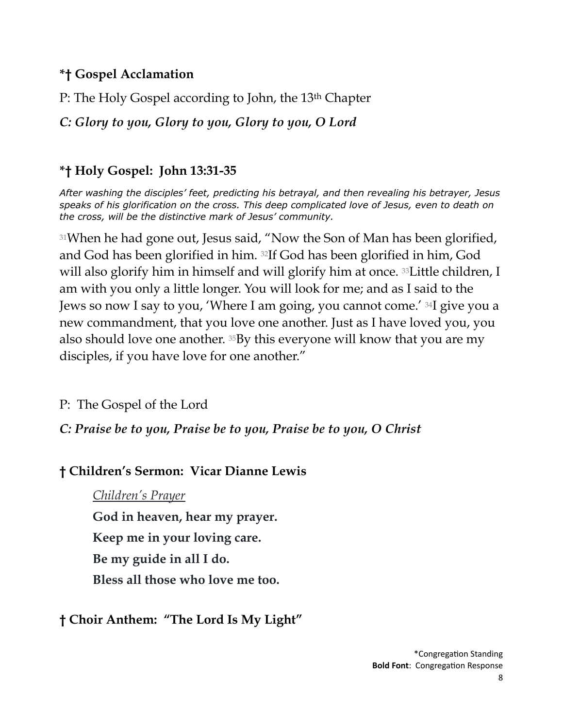### **\*† Gospel Acclamation**

P: The Holy Gospel according to John, the 13th Chapter

*C: Glory to you, Glory to you, Glory to you, O Lord*

# **\*† Holy Gospel: John 13:31-35**

*After washing the disciples' feet, predicting his betrayal, and then revealing his betrayer, Jesus speaks of his glorification on the cross. This deep complicated love of Jesus, even to death on the cross, will be the distinctive mark of Jesus' community.* 

31When he had gone out, Jesus said, "Now the Son of Man has been glorified, and God has been glorified in him. 32If God has been glorified in him, God will also glorify him in himself and will glorify him at once. <sup>33</sup>Little children, I am with you only a little longer. You will look for me; and as I said to the Jews so now I say to you, 'Where I am going, you cannot come.' 34I give you a new commandment, that you love one another. Just as I have loved you, you also should love one another. 35By this everyone will know that you are my disciples, if you have love for one another."

P: The Gospel of the Lord

*C: Praise be to you, Praise be to you, Praise be to you, O Christ*

# **† Children's Sermon: Vicar Dianne Lewis**

*Children's Prayer*

**God in heaven, hear my prayer.**

**Keep me in your loving care.**

**Be my guide in all I do.**

**Bless all those who love me too.**

**† Choir Anthem: "The Lord Is My Light"**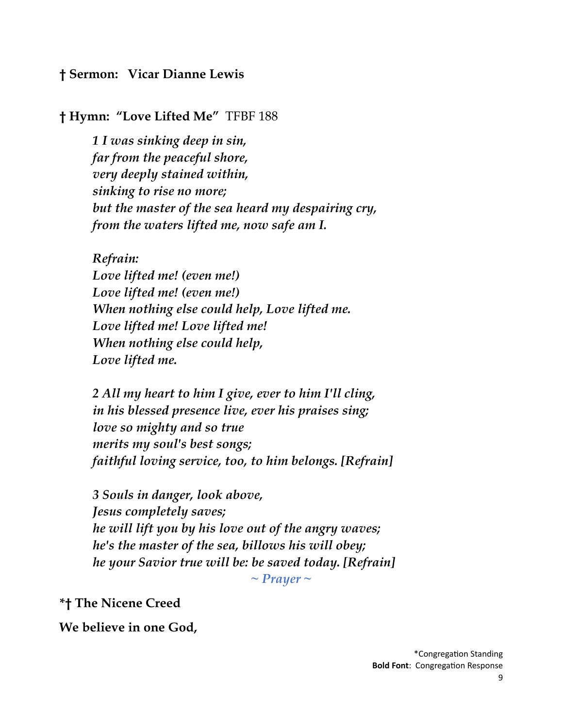### **† Sermon: Vicar Dianne Lewis**

#### **† Hymn: "Love Lifted Me"** TFBF 188

*1 I was sinking deep in sin, far from the peaceful shore, very deeply stained within, sinking to rise no more; but the master of the sea heard my despairing cry, from the waters lifted me, now safe am I.*

*Refrain:*

*Love lifted me! (even me!) Love lifted me! (even me!) When nothing else could help, Love lifted me. Love lifted me! Love lifted me! When nothing else could help, Love lifted me.*

*2 All my heart to him I give, ever to him I'll cling, in his blessed presence live, ever his praises sing; love so mighty and so true merits my soul's best songs; faithful loving service, too, to him belongs. [Refrain]*

*3 Souls in danger, look above, Jesus completely saves; he will lift you by his love out of the angry waves; he's the master of the sea, billows his will obey; he your Savior true will be: be saved today. [Refrain] ~ Prayer ~*

**\*† The Nicene Creed**

**We believe in one God,**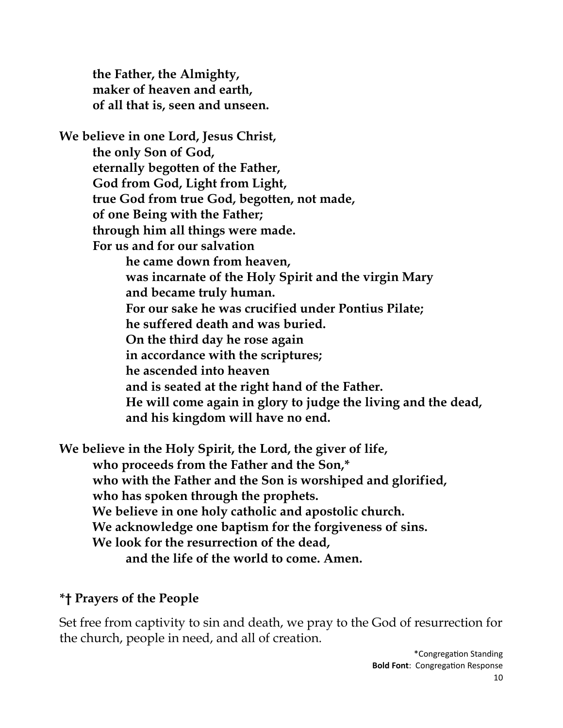**the Father, the Almighty, maker of heaven and earth, of all that is, seen and unseen.** 

**We believe in one Lord, Jesus Christ, the only Son of God, eternally begotten of the Father, God from God, Light from Light, true God from true God, begotten, not made, of one Being with the Father; through him all things were made. For us and for our salvation he came down from heaven, was incarnate of the Holy Spirit and the virgin Mary and became truly human. For our sake he was crucified under Pontius Pilate; he suffered death and was buried. On the third day he rose again in accordance with the scriptures; he ascended into heaven and is seated at the right hand of the Father. He will come again in glory to judge the living and the dead, and his kingdom will have no end.** 

**We believe in the Holy Spirit, the Lord, the giver of life,** 

**who proceeds from the Father and the Son,\* who with the Father and the Son is worshiped and glorified, who has spoken through the prophets. We believe in one holy catholic and apostolic church. We acknowledge one baptism for the forgiveness of sins. We look for the resurrection of the dead, and the life of the world to come. Amen.**

### **\*† Prayers of the People**

Set free from captivity to sin and death, we pray to the God of resurrection for the church, people in need, and all of creation.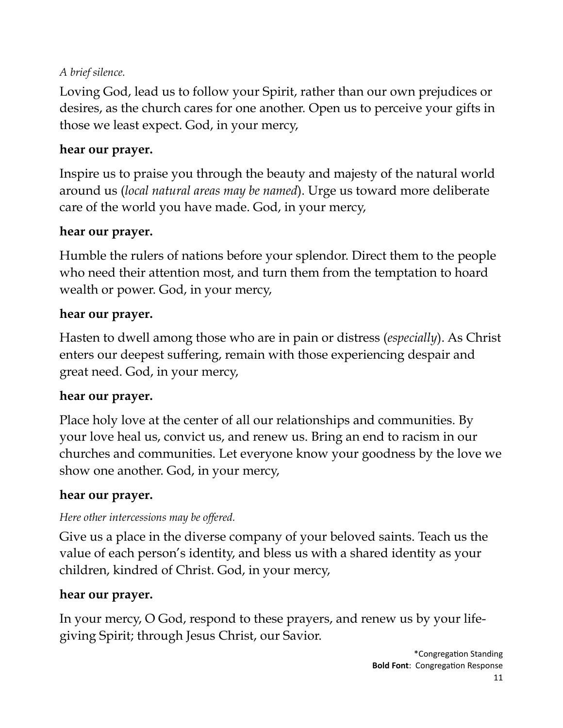### *A brief silence.*

Loving God, lead us to follow your Spirit, rather than our own prejudices or desires, as the church cares for one another. Open us to perceive your gifts in those we least expect. God, in your mercy,

## **hear our prayer.**

Inspire us to praise you through the beauty and majesty of the natural world around us (*local natural areas may be named*). Urge us toward more deliberate care of the world you have made. God, in your mercy,

## **hear our prayer.**

Humble the rulers of nations before your splendor. Direct them to the people who need their attention most, and turn them from the temptation to hoard wealth or power. God, in your mercy,

## **hear our prayer.**

Hasten to dwell among those who are in pain or distress (*especially*). As Christ enters our deepest suffering, remain with those experiencing despair and great need. God, in your mercy,

### **hear our prayer.**

Place holy love at the center of all our relationships and communities. By your love heal us, convict us, and renew us. Bring an end to racism in our churches and communities. Let everyone know your goodness by the love we show one another. God, in your mercy,

## **hear our prayer.**

## *Here other intercessions may be offered.*

Give us a place in the diverse company of your beloved saints. Teach us the value of each person's identity, and bless us with a shared identity as your children, kindred of Christ. God, in your mercy,

## **hear our prayer.**

In your mercy, O God, respond to these prayers, and renew us by your lifegiving Spirit; through Jesus Christ, our Savior.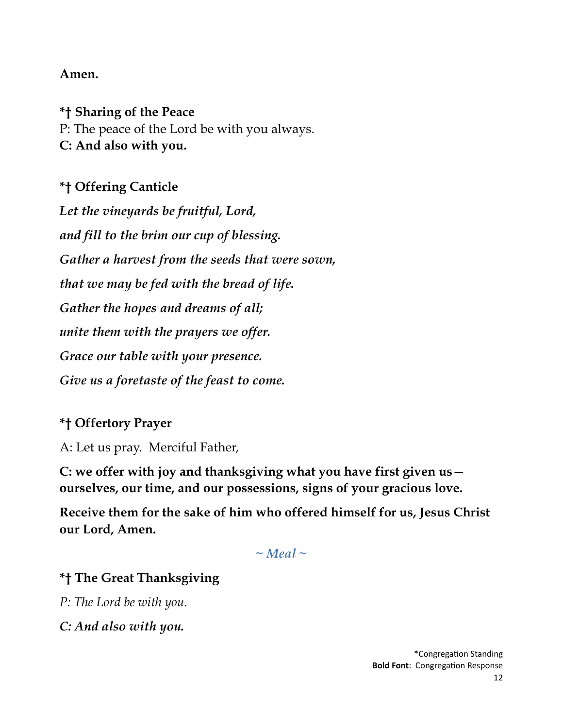### **Amen.**

**\*† Sharing of the Peace** P: The peace of the Lord be with you always. **C: And also with you.**

## **\*† Offering Canticle**

*Let the vineyards be fruitful, Lord, and fill to the brim our cup of blessing. Gather a harvest from the seeds that were sown, that we may be fed with the bread of life. Gather the hopes and dreams of all; unite them with the prayers we offer. Grace our table with your presence. Give us a foretaste of the feast to come.*

### **\*† Offertory Prayer**

A: Let us pray. Merciful Father,

**C: we offer with joy and thanksgiving what you have first given us ourselves, our time, and our possessions, signs of your gracious love.** 

**Receive them for the sake of him who offered himself for us, Jesus Christ our Lord, Amen.**

 $\sim$  Meal  $\sim$ 

### **\*† The Great Thanksgiving**

*P: The Lord be with you.*

*C: And also with you.*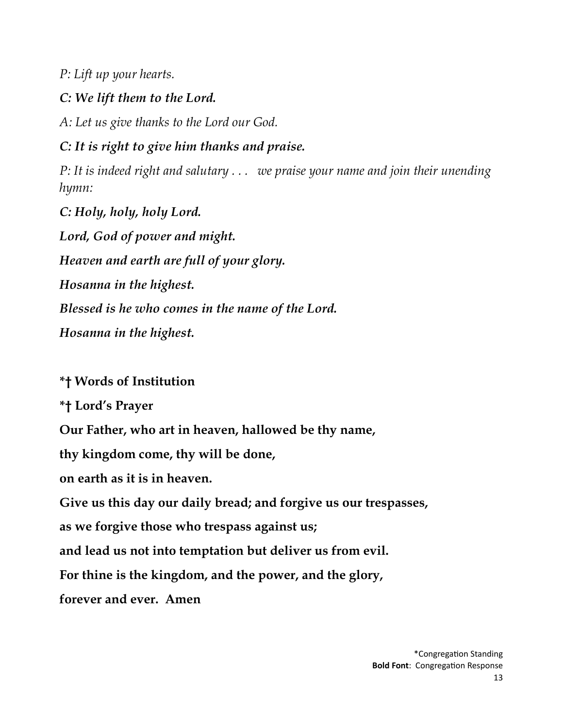*P: Lift up your hearts.*

### *C: We lift them to the Lord.*

*A: Let us give thanks to the Lord our God.*

*C: It is right to give him thanks and praise.*

*P: It is indeed right and salutary . . . we praise your name and join their unending hymn:*

*C: Holy, holy, holy Lord. Lord, God of power and might. Heaven and earth are full of your glory. Hosanna in the highest. Blessed is he who comes in the name of the Lord. Hosanna in the highest.*

## **\*† Words of Institution**

**\*† Lord's Prayer**

**Our Father, who art in heaven, hallowed be thy name,** 

**thy kingdom come, thy will be done,** 

**on earth as it is in heaven.**

**Give us this day our daily bread; and forgive us our trespasses,** 

**as we forgive those who trespass against us;** 

**and lead us not into temptation but deliver us from evil.**

**For thine is the kingdom, and the power, and the glory,** 

**forever and ever. Amen**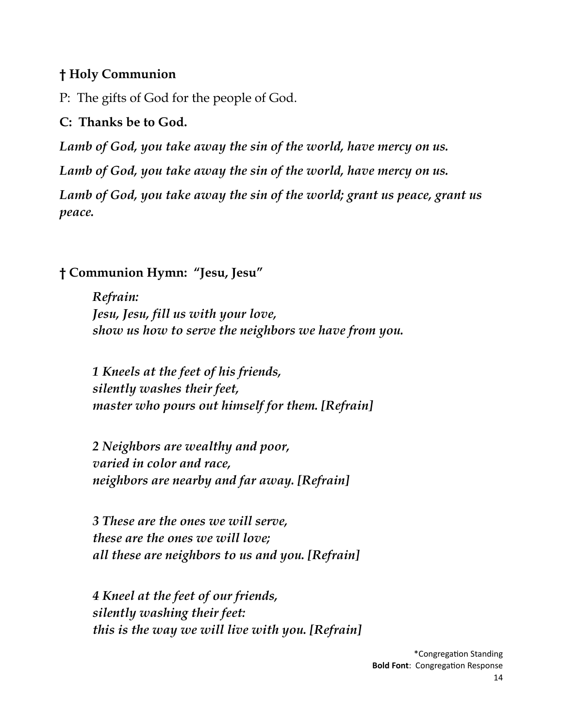### **† Holy Communion**

P: The gifts of God for the people of God.

### **C: Thanks be to God.**

*Lamb of God, you take away the sin of the world, have mercy on us.*

*Lamb of God, you take away the sin of the world, have mercy on us.* 

Lamb of God, you take away the sin of the world; grant us peace, grant us *peace.*

### **† Communion Hymn: "Jesu, Jesu"**

*Refrain: Jesu, Jesu, fill us with your love, show us how to serve the neighbors we have from you.*

*1 Kneels at the feet of his friends, silently washes their feet, master who pours out himself for them. [Refrain]*

*2 Neighbors are wealthy and poor, varied in color and race, neighbors are nearby and far away. [Refrain]*

*3 These are the ones we will serve, these are the ones we will love; all these are neighbors to us and you. [Refrain]*

*4 Kneel at the feet of our friends, silently washing their feet: this is the way we will live with you. [Refrain]*

> \*Congregation Standing **Bold Font**: Congregation Response 14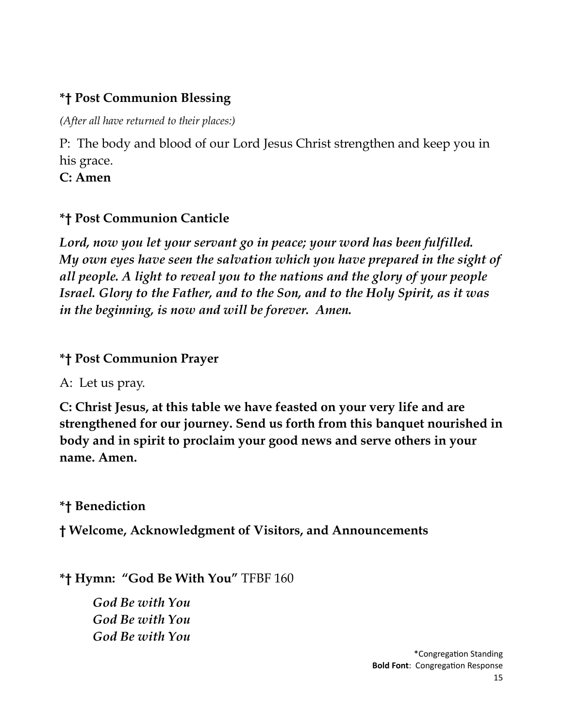# **\*† Post Communion Blessing**

*(After all have returned to their places:)*

P: The body and blood of our Lord Jesus Christ strengthen and keep you in his grace.

**C: Amen**

# **\*† Post Communion Canticle**

*Lord, now you let your servant go in peace; your word has been fulfilled. My own eyes have seen the salvation which you have prepared in the sight of all people. A light to reveal you to the nations and the glory of your people Israel. Glory to the Father, and to the Son, and to the Holy Spirit, as it was in the beginning, is now and will be forever. Amen.*

# **\*† Post Communion Prayer**

A: Let us pray.

**C: Christ Jesus, at this table we have feasted on your very life and are strengthened for our journey. Send us forth from this banquet nourished in body and in spirit to proclaim your good news and serve others in your name. Amen.**

**\*† Benediction**

**† Welcome, Acknowledgment of Visitors, and Announcements**

**\*† Hymn: "God Be With You"** TFBF 160

*God Be with You God Be with You God Be with You*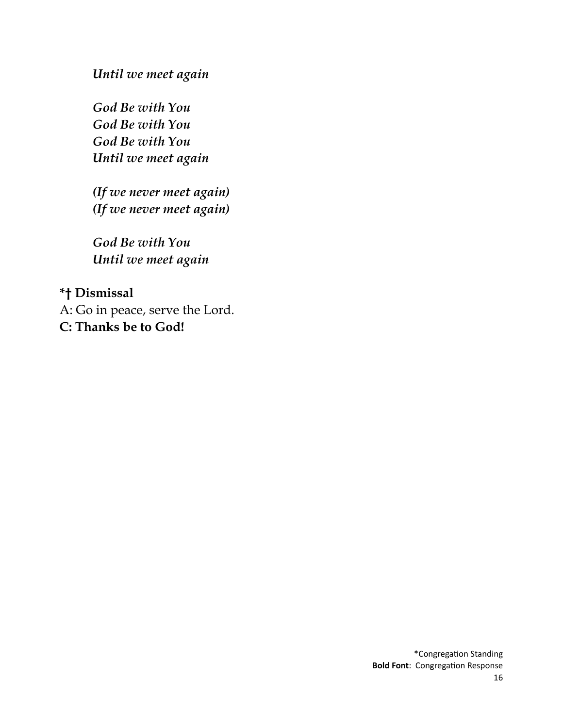*Until we meet again*

*God Be with You God Be with You God Be with You Until we meet again*

*(If we never meet again) (If we never meet again)*

*God Be with You Until we meet again*

**\*† Dismissal** A: Go in peace, serve the Lord. **C: Thanks be to God!**